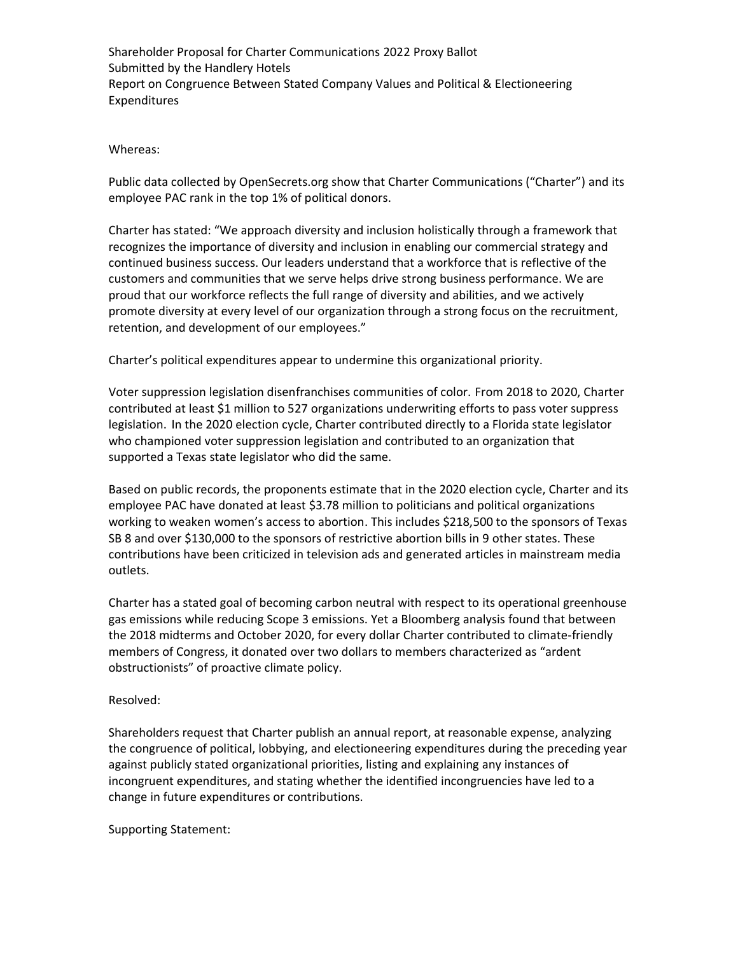Shareholder Proposal for Charter Communications 2022 Proxy Ballot Submitted by the Handlery Hotels Report on Congruence Between Stated Company Values and Political & Electioneering Expenditures

Whereas:

Public data collected by OpenSecrets.org show that Charter Communications ("Charter") and its employee PAC rank in the top 1% of political donors.

Charter has stated: "We approach diversity and inclusion holistically through a framework that recognizes the importance of diversity and inclusion in enabling our commercial strategy and continued business success. Our leaders understand that a workforce that is reflective of the customers and communities that we serve helps drive strong business performance. We are proud that our workforce reflects the full range of diversity and abilities, and we actively promote diversity at every level of our organization through a strong focus on the recruitment, retention, and development of our employees."

Charter's political expenditures appear to undermine this organizational priority.

Voter suppression legislation disenfranchises communities of color. From 2018 to 2020, Charter contributed at least \$1 million to 527 organizations underwriting efforts to pass voter suppress legislation. In the 2020 election cycle, Charter contributed directly to a Florida state legislator who championed voter suppression legislation and contributed to an organization that supported a Texas state legislator who did the same.

Based on public records, the proponents estimate that in the 2020 election cycle, Charter and its employee PAC have donated at least \$3.78 million to politicians and political organizations working to weaken women's access to abortion. This includes \$218,500 to the sponsors of Texas SB 8 and over \$130,000 to the sponsors of restrictive abortion bills in 9 other states. These contributions have been criticized in television ads and generated articles in mainstream media outlets.

Charter has a stated goal of becoming carbon neutral with respect to its operational greenhouse gas emissions while reducing Scope 3 emissions. Yet a Bloomberg analysis found that between the 2018 midterms and October 2020, for every dollar Charter contributed to climate-friendly members of Congress, it donated over two dollars to members characterized as "ardent obstructionists" of proactive climate policy.

## Resolved:

Shareholders request that Charter publish an annual report, at reasonable expense, analyzing the congruence of political, lobbying, and electioneering expenditures during the preceding year against publicly stated organizational priorities, listing and explaining any instances of incongruent expenditures, and stating whether the identified incongruencies have led to a change in future expenditures or contributions.

Supporting Statement: